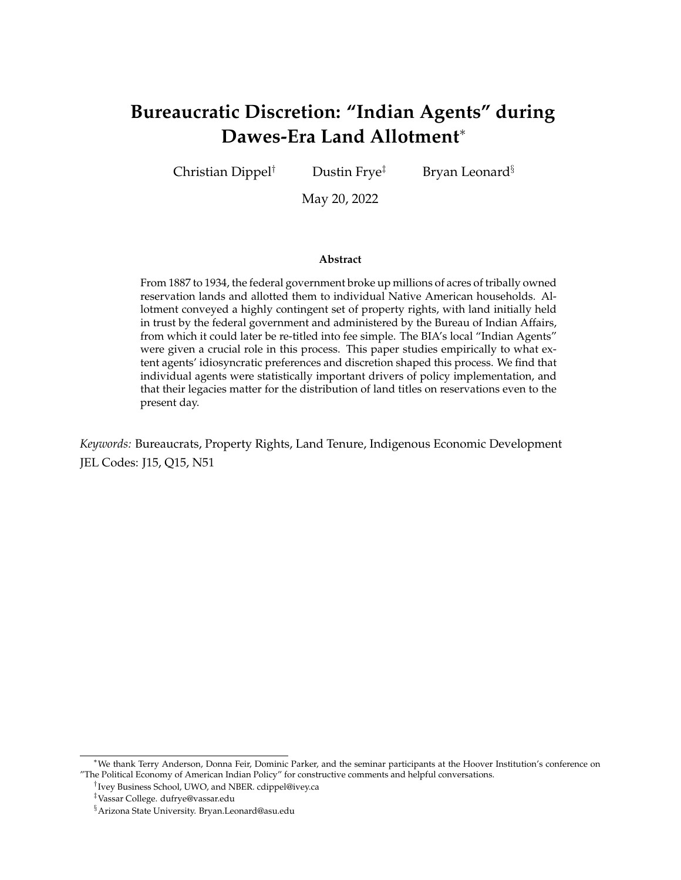# **Bureaucratic Discretion: "Indian Agents" during Dawes-Era Land Allotment**<sup>∗</sup>

Christian Dippel<sup>†</sup> Dustin Frye<sup>‡</sup> Bryan Leonard<sup>§</sup>

May 20, 2022

#### **Abstract**

From 1887 to 1934, the federal government broke up millions of acres of tribally owned reservation lands and allotted them to individual Native American households. Allotment conveyed a highly contingent set of property rights, with land initially held in trust by the federal government and administered by the Bureau of Indian Affairs, from which it could later be re-titled into fee simple. The BIA's local "Indian Agents" were given a crucial role in this process. This paper studies empirically to what extent agents' idiosyncratic preferences and discretion shaped this process. We find that individual agents were statistically important drivers of policy implementation, and that their legacies matter for the distribution of land titles on reservations even to the present day.

*Keywords:* Bureaucrats, Property Rights, Land Tenure, Indigenous Economic Development JEL Codes: J15, Q15, N51

<sup>∗</sup>We thank Terry Anderson, Donna Feir, Dominic Parker, and the seminar participants at the Hoover Institution's conference on "The Political Economy of American Indian Policy" for constructive comments and helpful conversations.

<sup>†</sup> Ivey Business School, UWO, and NBER. cdippel@ivey.ca

<sup>‡</sup>Vassar College. dufrye@vassar.edu

<sup>§</sup>Arizona State University. Bryan.Leonard@asu.edu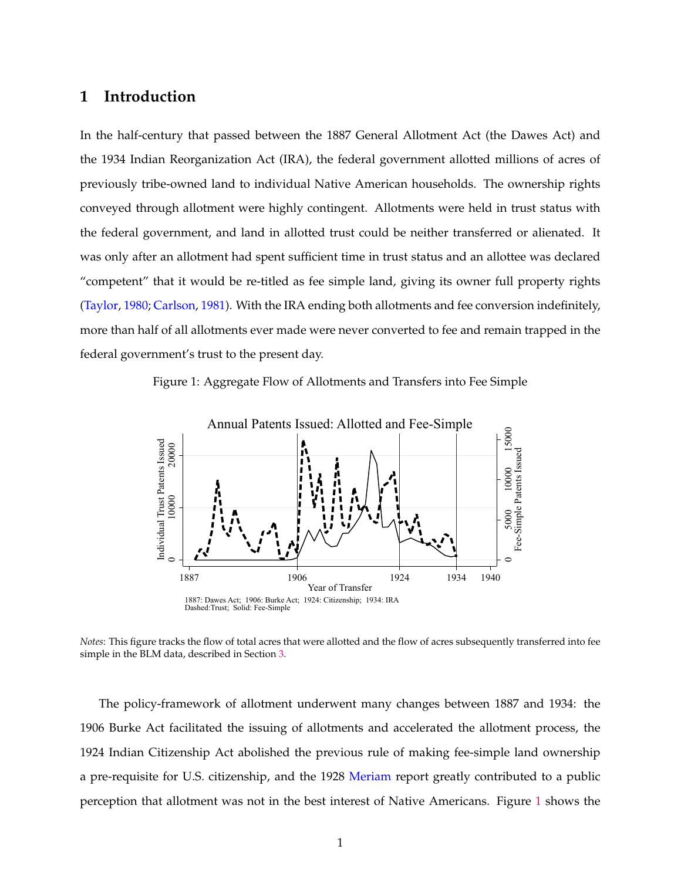# **1 Introduction**

In the half-century that passed between the 1887 General Allotment Act (the Dawes Act) and the 1934 Indian Reorganization Act (IRA), the federal government allotted millions of acres of previously tribe-owned land to individual Native American households. The ownership rights conveyed through allotment were highly contingent. Allotments were held in trust status with the federal government, and land in allotted trust could be neither transferred or alienated. It was only after an allotment had spent sufficient time in trust status and an allottee was declared "competent" that it would be re-titled as fee simple land, giving its owner full property rights [\(Taylor,](#page-23-0) [1980;](#page-23-0) [Carlson,](#page-21-0) [1981\)](#page-21-0). With the IRA ending both allotments and fee conversion indefinitely, more than half of all allotments ever made were never converted to fee and remain trapped in the federal government's trust to the present day.

Figure 1: Aggregate Flow of Allotments and Transfers into Fee Simple

<span id="page-1-0"></span>

*Notes*: This figure tracks the flow of total acres that were allotted and the flow of acres subsequently transferred into fee simple in the BLM data, described in Section [3.](#page-11-0)

The policy-framework of allotment underwent many changes between 1887 and 1934: the 1906 Burke Act facilitated the issuing of allotments and accelerated the allotment process, the 1924 Indian Citizenship Act abolished the previous rule of making fee-simple land ownership a pre-requisite for U.S. citizenship, and the 1928 [Meriam](#page-22-0) report greatly contributed to a public perception that allotment was not in the best interest of Native Americans. Figure [1](#page-1-0) shows the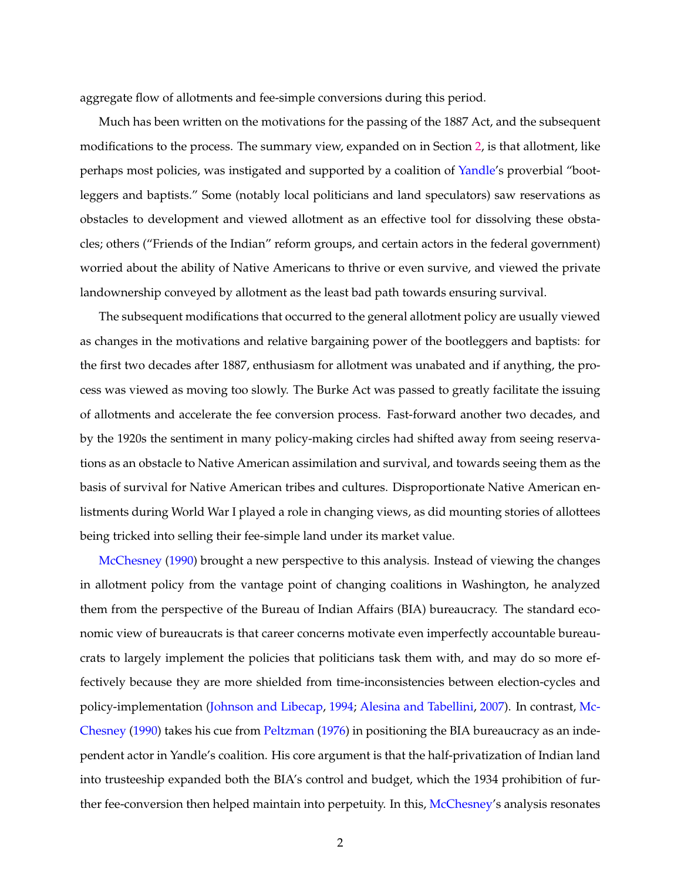aggregate flow of allotments and fee-simple conversions during this period.

Much has been written on the motivations for the passing of the 1887 Act, and the subsequent modifications to the process. The summary view, expanded on in Section [2,](#page-5-0) is that allotment, like perhaps most policies, was instigated and supported by a coalition of [Yandle'](#page-23-1)s proverbial "bootleggers and baptists." Some (notably local politicians and land speculators) saw reservations as obstacles to development and viewed allotment as an effective tool for dissolving these obstacles; others ("Friends of the Indian" reform groups, and certain actors in the federal government) worried about the ability of Native Americans to thrive or even survive, and viewed the private landownership conveyed by allotment as the least bad path towards ensuring survival.

The subsequent modifications that occurred to the general allotment policy are usually viewed as changes in the motivations and relative bargaining power of the bootleggers and baptists: for the first two decades after 1887, enthusiasm for allotment was unabated and if anything, the process was viewed as moving too slowly. The Burke Act was passed to greatly facilitate the issuing of allotments and accelerate the fee conversion process. Fast-forward another two decades, and by the 1920s the sentiment in many policy-making circles had shifted away from seeing reservations as an obstacle to Native American assimilation and survival, and towards seeing them as the basis of survival for Native American tribes and cultures. Disproportionate Native American enlistments during World War I played a role in changing views, as did mounting stories of allottees being tricked into selling their fee-simple land under its market value.

[McChesney](#page-22-1) [\(1990\)](#page-22-1) brought a new perspective to this analysis. Instead of viewing the changes in allotment policy from the vantage point of changing coalitions in Washington, he analyzed them from the perspective of the Bureau of Indian Affairs (BIA) bureaucracy. The standard economic view of bureaucrats is that career concerns motivate even imperfectly accountable bureaucrats to largely implement the policies that politicians task them with, and may do so more effectively because they are more shielded from time-inconsistencies between election-cycles and policy-implementation [\(Johnson and Libecap,](#page-22-2) [1994;](#page-22-2) [Alesina and Tabellini,](#page-21-1) [2007\)](#page-21-1). In contrast, [Mc-](#page-22-1)[Chesney](#page-22-1) [\(1990\)](#page-22-1) takes his cue from [Peltzman](#page-23-2) [\(1976\)](#page-23-2) in positioning the BIA bureaucracy as an independent actor in Yandle's coalition. His core argument is that the half-privatization of Indian land into trusteeship expanded both the BIA's control and budget, which the 1934 prohibition of further fee-conversion then helped maintain into perpetuity. In this, [McChesney'](#page-22-1)s analysis resonates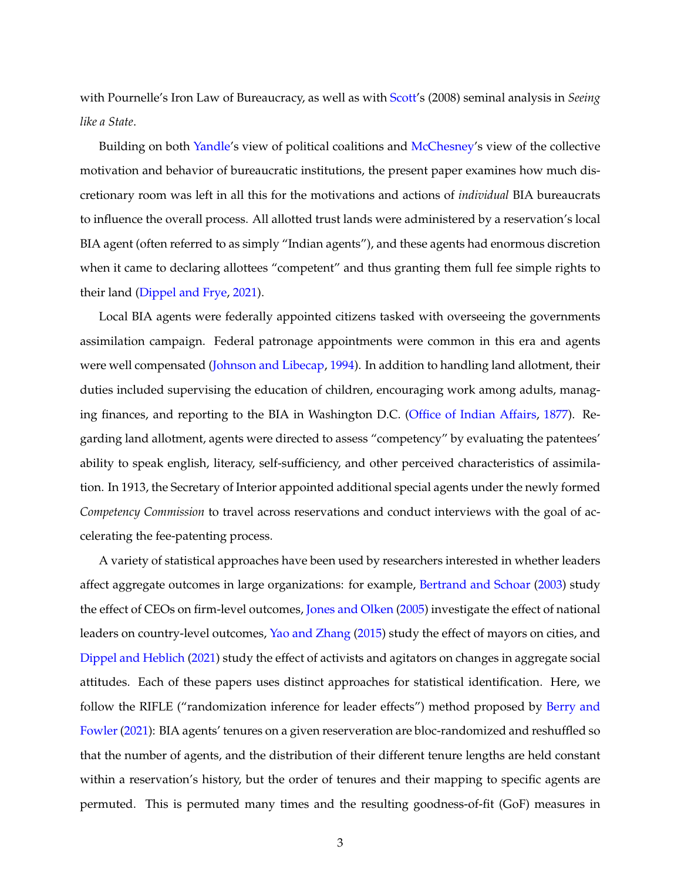with Pournelle's Iron Law of Bureaucracy, as well as with [Scott'](#page-23-3)s (2008) seminal analysis in *Seeing like a State*.

Building on both [Yandle'](#page-23-1)s view of political coalitions and [McChesney'](#page-22-1)s view of the collective motivation and behavior of bureaucratic institutions, the present paper examines how much discretionary room was left in all this for the motivations and actions of *individual* BIA bureaucrats to influence the overall process. All allotted trust lands were administered by a reservation's local BIA agent (often referred to as simply "Indian agents"), and these agents had enormous discretion when it came to declaring allottees "competent" and thus granting them full fee simple rights to their land [\(Dippel and Frye,](#page-21-2) [2021\)](#page-21-2).

Local BIA agents were federally appointed citizens tasked with overseeing the governments assimilation campaign. Federal patronage appointments were common in this era and agents were well compensated [\(Johnson and Libecap,](#page-22-2) [1994\)](#page-22-2). In addition to handling land allotment, their duties included supervising the education of children, encouraging work among adults, managing finances, and reporting to the BIA in Washington D.C. [\(Office of Indian Affairs,](#page-22-3) [1877\)](#page-22-3). Regarding land allotment, agents were directed to assess "competency" by evaluating the patentees' ability to speak english, literacy, self-sufficiency, and other perceived characteristics of assimilation. In 1913, the Secretary of Interior appointed additional special agents under the newly formed *Competency Commission* to travel across reservations and conduct interviews with the goal of accelerating the fee-patenting process.

A variety of statistical approaches have been used by researchers interested in whether leaders affect aggregate outcomes in large organizations: for example, [Bertrand and Schoar](#page-21-3) [\(2003\)](#page-21-3) study the effect of CEOs on firm-level outcomes, [Jones and Olken](#page-22-4) [\(2005\)](#page-22-4) investigate the effect of national leaders on country-level outcomes, [Yao and Zhang](#page-23-4) [\(2015\)](#page-23-4) study the effect of mayors on cities, and [Dippel and Heblich](#page-22-5) [\(2021\)](#page-22-5) study the effect of activists and agitators on changes in aggregate social attitudes. Each of these papers uses distinct approaches for statistical identification. Here, we follow the RIFLE ("randomization inference for leader effects") method proposed by [Berry and](#page-21-4) [Fowler](#page-21-4) [\(2021\)](#page-21-4): BIA agents' tenures on a given reserveration are bloc-randomized and reshuffled so that the number of agents, and the distribution of their different tenure lengths are held constant within a reservation's history, but the order of tenures and their mapping to specific agents are permuted. This is permuted many times and the resulting goodness-of-fit (GoF) measures in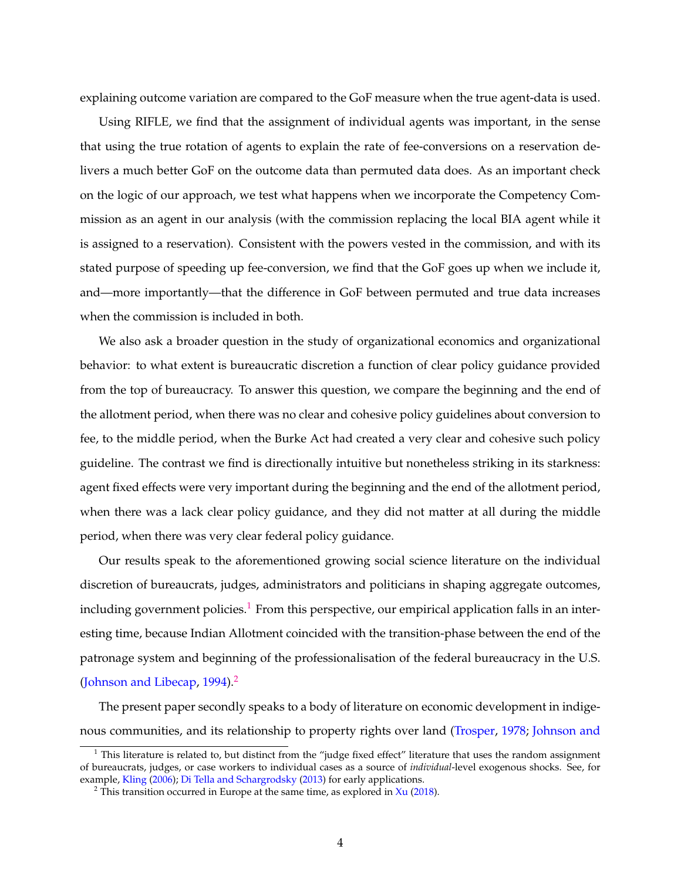explaining outcome variation are compared to the GoF measure when the true agent-data is used.

Using RIFLE, we find that the assignment of individual agents was important, in the sense that using the true rotation of agents to explain the rate of fee-conversions on a reservation delivers a much better GoF on the outcome data than permuted data does. As an important check on the logic of our approach, we test what happens when we incorporate the Competency Commission as an agent in our analysis (with the commission replacing the local BIA agent while it is assigned to a reservation). Consistent with the powers vested in the commission, and with its stated purpose of speeding up fee-conversion, we find that the GoF goes up when we include it, and—more importantly—that the difference in GoF between permuted and true data increases when the commission is included in both.

We also ask a broader question in the study of organizational economics and organizational behavior: to what extent is bureaucratic discretion a function of clear policy guidance provided from the top of bureaucracy. To answer this question, we compare the beginning and the end of the allotment period, when there was no clear and cohesive policy guidelines about conversion to fee, to the middle period, when the Burke Act had created a very clear and cohesive such policy guideline. The contrast we find is directionally intuitive but nonetheless striking in its starkness: agent fixed effects were very important during the beginning and the end of the allotment period, when there was a lack clear policy guidance, and they did not matter at all during the middle period, when there was very clear federal policy guidance.

Our results speak to the aforementioned growing social science literature on the individual discretion of bureaucrats, judges, administrators and politicians in shaping aggregate outcomes, including government policies.<sup>[1](#page-4-0)</sup> From this perspective, our empirical application falls in an interesting time, because Indian Allotment coincided with the transition-phase between the end of the patronage system and beginning of the professionalisation of the federal bureaucracy in the U.S. [\(Johnson and Libecap,](#page-22-2) [1994\)](#page-22-2).<sup>[2](#page-4-1)</sup>

The present paper secondly speaks to a body of literature on economic development in indigenous communities, and its relationship to property rights over land [\(Trosper,](#page-23-5) [1978;](#page-23-5) [Johnson and](#page-22-6)

<span id="page-4-0"></span><sup>&</sup>lt;sup>1</sup> [This literature is related to, but distinct from the "judge fixed effect" literature that uses the random assignment](#page-22-6) [of bureaucrats, judges, or case workers to individual cases as a source of](#page-22-6) *individual*-level exogenous shocks. See, for example, [Kling](#page-22-7) [\(2006\)](#page-22-7); [Di Tella and Schargrodsky](#page-21-5) [\(2013\) for early applications.](#page-22-6)

<span id="page-4-1"></span><sup>&</sup>lt;sup>2</sup> [This transition occurred in Europe at the same time, as explored in](#page-22-6)  $X_{u}$  [\(2018\)](#page-23-6).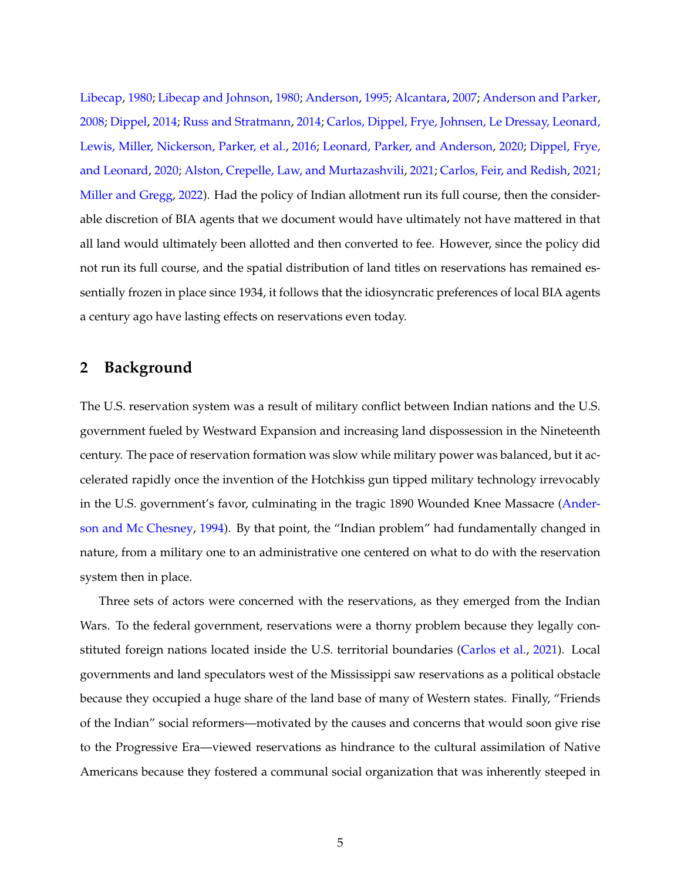[Libecap,](#page-22-6) [1980;](#page-22-6) [Libecap and Johnson,](#page-22-8) [1980;](#page-22-8) [Anderson,](#page-21-6) [1995;](#page-21-6) [Alcantara,](#page-21-7) [2007;](#page-21-7) [Anderson and Parker,](#page-21-8) [2008;](#page-21-8) [Dippel,](#page-21-9) [2014;](#page-21-9) [Russ and Stratmann,](#page-23-7) [2014;](#page-23-7) [Carlos, Dippel, Frye, Johnsen, Le Dressay, Leonard,](#page-21-10) [Lewis, Miller, Nickerson, Parker, et al.,](#page-21-10) [2016;](#page-21-10) [Leonard, Parker, and Anderson,](#page-22-9) [2020;](#page-22-9) [Dippel, Frye,](#page-22-10) [and Leonard,](#page-22-10) [2020;](#page-22-10) [Alston, Crepelle, Law, and Murtazashvili,](#page-21-11) [2021;](#page-21-11) [Carlos, Feir, and Redish,](#page-21-12) [2021;](#page-21-12) [Miller and Gregg,](#page-22-11) [2022\)](#page-22-11). Had the policy of Indian allotment run its full course, then the considerable discretion of BIA agents that we document would have ultimately not have mattered in that all land would ultimately been allotted and then converted to fee. However, since the policy did not run its full course, and the spatial distribution of land titles on reservations has remained essentially frozen in place since 1934, it follows that the idiosyncratic preferences of local BIA agents a century ago have lasting effects on reservations even today.

# <span id="page-5-0"></span>**2 Background**

The U.S. reservation system was a result of military conflict between Indian nations and the U.S. government fueled by Westward Expansion and increasing land dispossession in the Nineteenth century. The pace of reservation formation was slow while military power was balanced, but it accelerated rapidly once the invention of the Hotchkiss gun tipped military technology irrevocably in the U.S. government's favor, culminating in the tragic 1890 Wounded Knee Massacre [\(Ander](#page-21-13)[son and Mc Chesney,](#page-21-13) [1994\)](#page-21-13). By that point, the "Indian problem" had fundamentally changed in nature, from a military one to an administrative one centered on what to do with the reservation system then in place.

Three sets of actors were concerned with the reservations, as they emerged from the Indian Wars. To the federal government, reservations were a thorny problem because they legally constituted foreign nations located inside the U.S. territorial boundaries [\(Carlos et al.,](#page-21-12) [2021\)](#page-21-12). Local governments and land speculators west of the Mississippi saw reservations as a political obstacle because they occupied a huge share of the land base of many of Western states. Finally, "Friends of the Indian" social reformers—motivated by the causes and concerns that would soon give rise to the Progressive Era—viewed reservations as hindrance to the cultural assimilation of Native Americans because they fostered a communal social organization that was inherently steeped in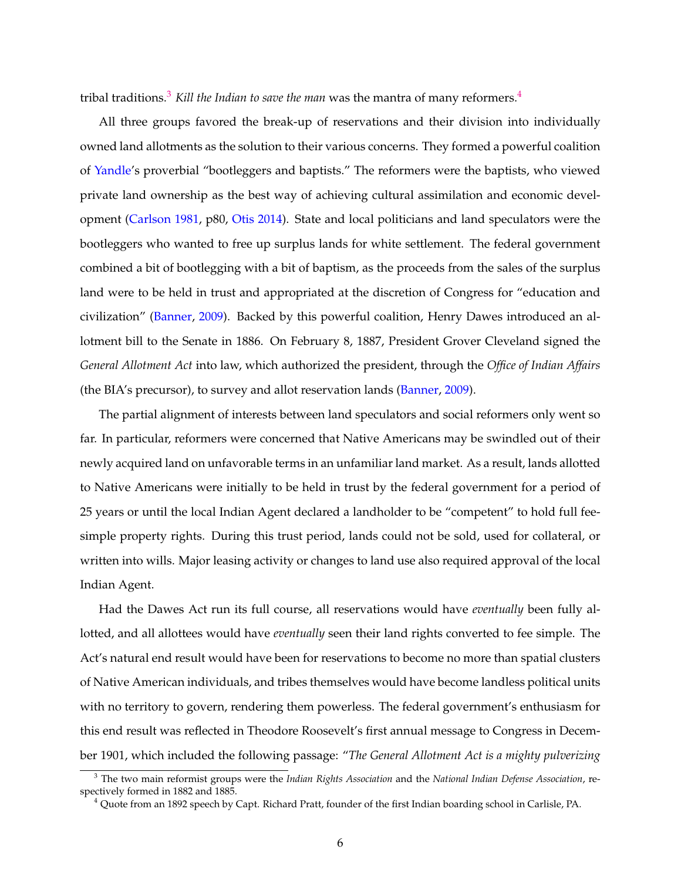tribal traditions.[3](#page-6-0) *Kill the Indian to save the man* was the mantra of many reformers.[4](#page-6-1)

All three groups favored the break-up of reservations and their division into individually owned land allotments as the solution to their various concerns. They formed a powerful coalition of [Yandle'](#page-23-1)s proverbial "bootleggers and baptists." The reformers were the baptists, who viewed private land ownership as the best way of achieving cultural assimilation and economic development [\(Carlson](#page-21-0) [1981,](#page-21-0) p80, [Otis](#page-22-12) [2014\)](#page-22-12). State and local politicians and land speculators were the bootleggers who wanted to free up surplus lands for white settlement. The federal government combined a bit of bootlegging with a bit of baptism, as the proceeds from the sales of the surplus land were to be held in trust and appropriated at the discretion of Congress for "education and civilization" [\(Banner,](#page-21-14) [2009\)](#page-21-14). Backed by this powerful coalition, Henry Dawes introduced an allotment bill to the Senate in 1886. On February 8, 1887, President Grover Cleveland signed the *General Allotment Act* into law, which authorized the president, through the *Office of Indian Affairs* (the BIA's precursor), to survey and allot reservation lands [\(Banner,](#page-21-14) [2009\)](#page-21-14).

The partial alignment of interests between land speculators and social reformers only went so far. In particular, reformers were concerned that Native Americans may be swindled out of their newly acquired land on unfavorable terms in an unfamiliar land market. As a result, lands allotted to Native Americans were initially to be held in trust by the federal government for a period of 25 years or until the local Indian Agent declared a landholder to be "competent" to hold full feesimple property rights. During this trust period, lands could not be sold, used for collateral, or written into wills. Major leasing activity or changes to land use also required approval of the local Indian Agent.

Had the Dawes Act run its full course, all reservations would have *eventually* been fully allotted, and all allottees would have *eventually* seen their land rights converted to fee simple. The Act's natural end result would have been for reservations to become no more than spatial clusters of Native American individuals, and tribes themselves would have become landless political units with no territory to govern, rendering them powerless. The federal government's enthusiasm for this end result was reflected in Theodore Roosevelt's first annual message to Congress in December 1901, which included the following passage: "*The General Allotment Act is a mighty pulverizing*

<span id="page-6-0"></span><sup>3</sup> The two main reformist groups were the *Indian Rights Association* and the *National Indian Defense Association*, respectively formed in 1882 and 1885.

<span id="page-6-1"></span><sup>4</sup> Quote from an 1892 speech by Capt. Richard Pratt, founder of the first Indian boarding school in Carlisle, PA.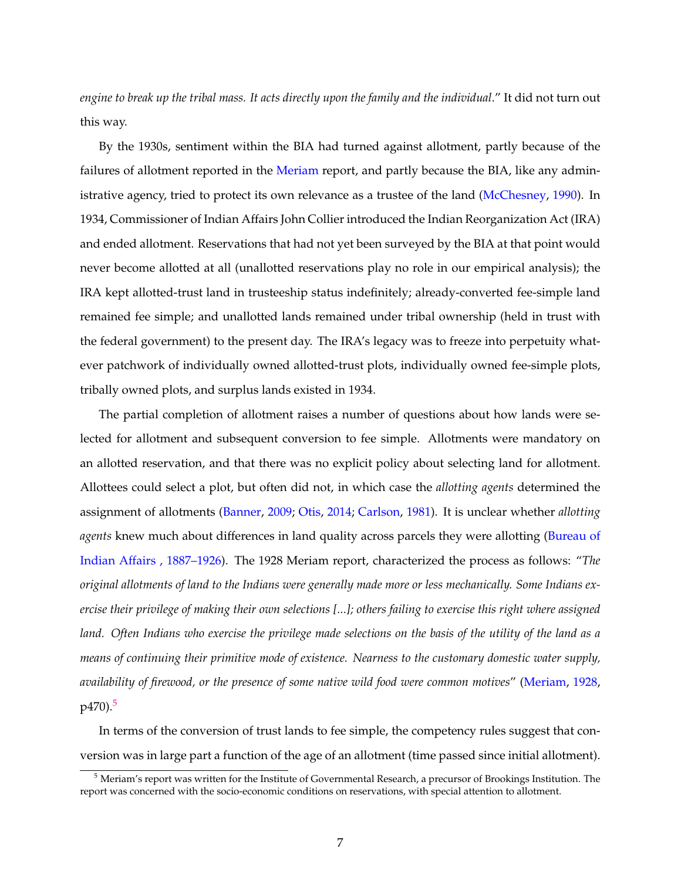*engine to break up the tribal mass. It acts directly upon the family and the individual*." It did not turn out this way.

By the 1930s, sentiment within the BIA had turned against allotment, partly because of the failures of allotment reported in the [Meriam](#page-22-0) report, and partly because the BIA, like any admin-istrative agency, tried to protect its own relevance as a trustee of the land [\(McChesney,](#page-22-1) [1990\)](#page-22-1). In 1934, Commissioner of Indian Affairs John Collier introduced the Indian Reorganization Act (IRA) and ended allotment. Reservations that had not yet been surveyed by the BIA at that point would never become allotted at all (unallotted reservations play no role in our empirical analysis); the IRA kept allotted-trust land in trusteeship status indefinitely; already-converted fee-simple land remained fee simple; and unallotted lands remained under tribal ownership (held in trust with the federal government) to the present day. The IRA's legacy was to freeze into perpetuity whatever patchwork of individually owned allotted-trust plots, individually owned fee-simple plots, tribally owned plots, and surplus lands existed in 1934.

The partial completion of allotment raises a number of questions about how lands were selected for allotment and subsequent conversion to fee simple. Allotments were mandatory on an allotted reservation, and that there was no explicit policy about selecting land for allotment. Allottees could select a plot, but often did not, in which case the *allotting agents* determined the assignment of allotments [\(Banner,](#page-21-14) [2009;](#page-21-14) [Otis,](#page-22-12) [2014;](#page-22-12) [Carlson,](#page-21-0) [1981\)](#page-21-0). It is unclear whether *allotting agents* knew much about differences in land quality across parcels they were allotting [\(Bureau of](#page-21-15) [Indian Affairs](#page-21-15) , 1887–1926). The 1928 Meriam report, characterized the process as follows: "*The original allotments of land to the Indians were generally made more or less mechanically. Some Indians exercise their privilege of making their own selections [...]; others failing to exercise this right where assigned land. Often Indians who exercise the privilege made selections on the basis of the utility of the land as a means of continuing their primitive mode of existence. Nearness to the customary domestic water supply, availability of firewood, or the presence of some native wild food were common motives*" [\(Meriam,](#page-22-0) [1928,](#page-22-0) p470).<sup>[5](#page-7-0)</sup>

In terms of the conversion of trust lands to fee simple, the competency rules suggest that conversion was in large part a function of the age of an allotment (time passed since initial allotment).

<span id="page-7-0"></span><sup>5</sup> Meriam's report was written for the Institute of Governmental Research, a precursor of Brookings Institution. The report was concerned with the socio-economic conditions on reservations, with special attention to allotment.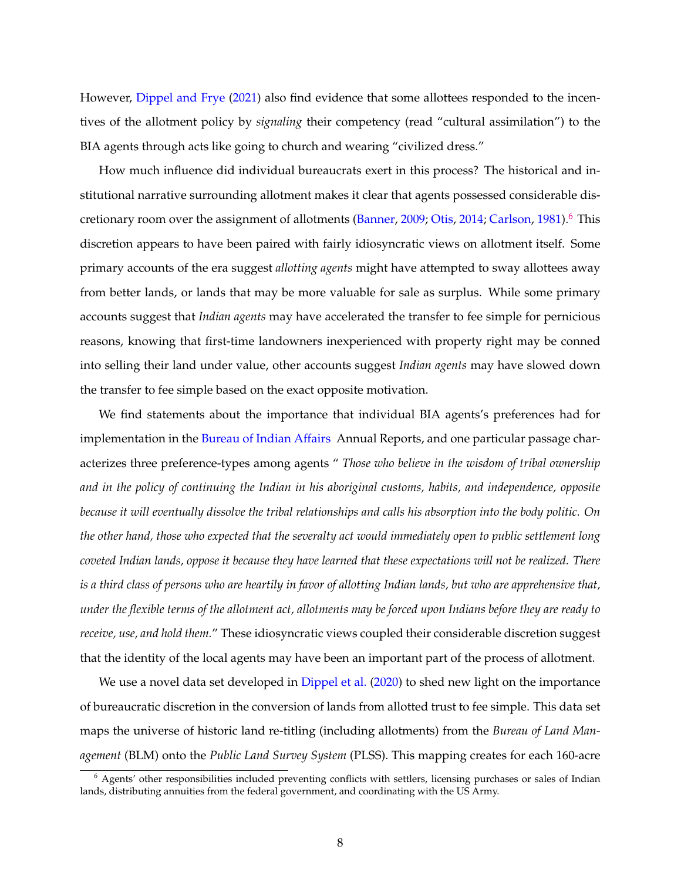However, [Dippel and Frye](#page-21-2) [\(2021\)](#page-21-2) also find evidence that some allottees responded to the incentives of the allotment policy by *signaling* their competency (read "cultural assimilation") to the BIA agents through acts like going to church and wearing "civilized dress."

How much influence did individual bureaucrats exert in this process? The historical and institutional narrative surrounding allotment makes it clear that agents possessed considerable dis-cretionary room over the assignment of allotments [\(Banner,](#page-21-14) [2009;](#page-21-14) [Otis,](#page-22-12) [2014;](#page-22-12) [Carlson,](#page-21-0) [1981\)](#page-21-0).<sup>[6](#page-8-0)</sup> This discretion appears to have been paired with fairly idiosyncratic views on allotment itself. Some primary accounts of the era suggest *allotting agents* might have attempted to sway allottees away from better lands, or lands that may be more valuable for sale as surplus. While some primary accounts suggest that *Indian agents* may have accelerated the transfer to fee simple for pernicious reasons, knowing that first-time landowners inexperienced with property right may be conned into selling their land under value, other accounts suggest *Indian agents* may have slowed down the transfer to fee simple based on the exact opposite motivation.

We find statements about the importance that individual BIA agents's preferences had for implementation in the [Bureau of Indian Affairs](#page-21-15) Annual Reports, and one particular passage characterizes three preference-types among agents " *Those who believe in the wisdom of tribal ownership and in the policy of continuing the Indian in his aboriginal customs, habits, and independence, opposite because it will eventually dissolve the tribal relationships and calls his absorption into the body politic. On the other hand, those who expected that the severalty act would immediately open to public settlement long coveted Indian lands, oppose it because they have learned that these expectations will not be realized. There is a third class of persons who are heartily in favor of allotting Indian lands, but who are apprehensive that, under the flexible terms of the allotment act, allotments may be forced upon Indians before they are ready to receive, use, and hold them.*" These idiosyncratic views coupled their considerable discretion suggest that the identity of the local agents may have been an important part of the process of allotment.

We use a novel data set developed in [Dippel et al.](#page-22-10) [\(2020\)](#page-22-10) to shed new light on the importance of bureaucratic discretion in the conversion of lands from allotted trust to fee simple. This data set maps the universe of historic land re-titling (including allotments) from the *Bureau of Land Management* (BLM) onto the *Public Land Survey System* (PLSS). This mapping creates for each 160-acre

<span id="page-8-0"></span><sup>6</sup> Agents' other responsibilities included preventing conflicts with settlers, licensing purchases or sales of Indian lands, distributing annuities from the federal government, and coordinating with the US Army.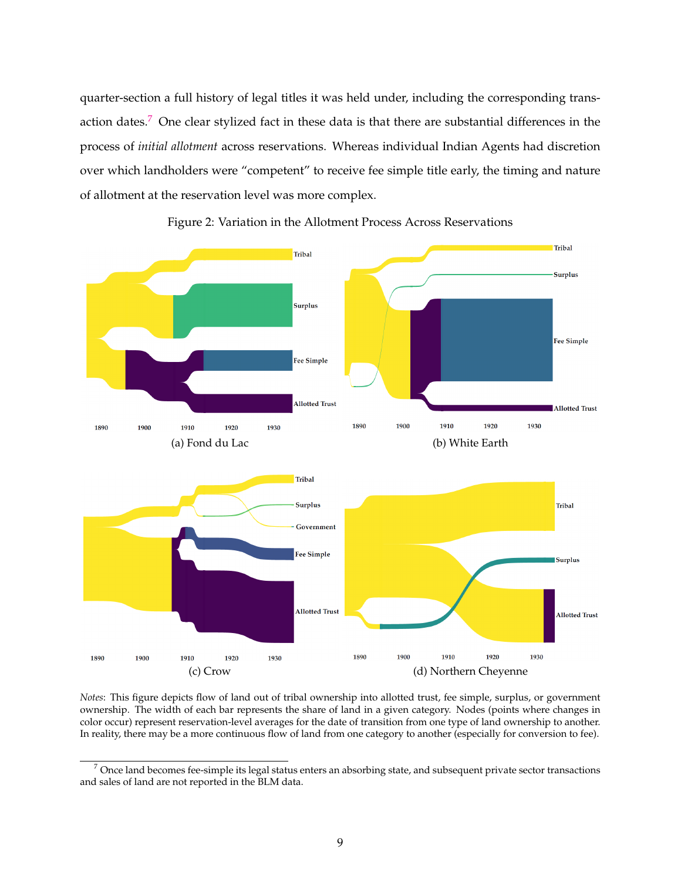quarter-section a full history of legal titles it was held under, including the corresponding trans-action dates.<sup>[7](#page-9-0)</sup> One clear stylized fact in these data is that there are substantial differences in the process of *initial allotment* across reservations. Whereas individual Indian Agents had discretion over which landholders were "competent" to receive fee simple title early, the timing and nature of allotment at the reservation level was more complex.

<span id="page-9-1"></span>

Figure 2: Variation in the Allotment Process Across Reservations

*Notes*: This figure depicts flow of land out of tribal ownership into allotted trust, fee simple, surplus, or government ownership. The width of each bar represents the share of land in a given category. Nodes (points where changes in color occur) represent reservation-level averages for the date of transition from one type of land ownership to another. In reality, there may be a more continuous flow of land from one category to another (especially for conversion to fee).

<span id="page-9-0"></span> $7$  Once land becomes fee-simple its legal status enters an absorbing state, and subsequent private sector transactions and sales of land are not reported in the BLM data.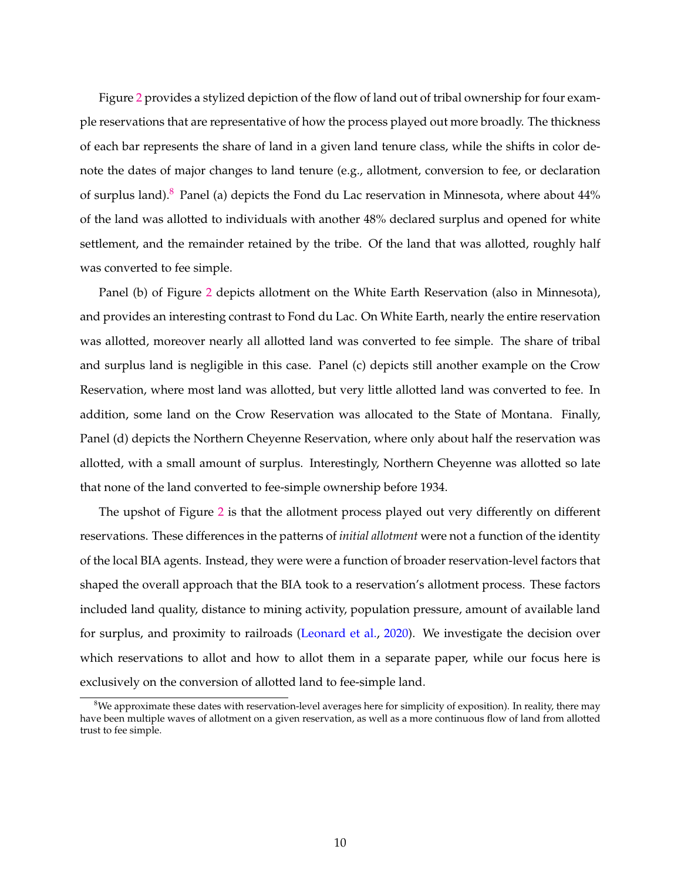Figure [2](#page-9-1) provides a stylized depiction of the flow of land out of tribal ownership for four example reservations that are representative of how the process played out more broadly. The thickness of each bar represents the share of land in a given land tenure class, while the shifts in color denote the dates of major changes to land tenure (e.g., allotment, conversion to fee, or declaration of surplus land).<sup>[8](#page-10-0)</sup> Panel (a) depicts the Fond du Lac reservation in Minnesota, where about  $44\%$ of the land was allotted to individuals with another 48% declared surplus and opened for white settlement, and the remainder retained by the tribe. Of the land that was allotted, roughly half was converted to fee simple.

Panel (b) of Figure [2](#page-9-1) depicts allotment on the White Earth Reservation (also in Minnesota), and provides an interesting contrast to Fond du Lac. On White Earth, nearly the entire reservation was allotted, moreover nearly all allotted land was converted to fee simple. The share of tribal and surplus land is negligible in this case. Panel (c) depicts still another example on the Crow Reservation, where most land was allotted, but very little allotted land was converted to fee. In addition, some land on the Crow Reservation was allocated to the State of Montana. Finally, Panel (d) depicts the Northern Cheyenne Reservation, where only about half the reservation was allotted, with a small amount of surplus. Interestingly, Northern Cheyenne was allotted so late that none of the land converted to fee-simple ownership before 1934.

The upshot of Figure [2](#page-9-1) is that the allotment process played out very differently on different reservations. These differences in the patterns of *initial allotment* were not a function of the identity of the local BIA agents. Instead, they were were a function of broader reservation-level factors that shaped the overall approach that the BIA took to a reservation's allotment process. These factors included land quality, distance to mining activity, population pressure, amount of available land for surplus, and proximity to railroads [\(Leonard et al.,](#page-22-9) [2020\)](#page-22-9). We investigate the decision over which reservations to allot and how to allot them in a separate paper, while our focus here is exclusively on the conversion of allotted land to fee-simple land.

<span id="page-10-0"></span> $8$ We approximate these dates with reservation-level averages here for simplicity of exposition). In reality, there may have been multiple waves of allotment on a given reservation, as well as a more continuous flow of land from allotted trust to fee simple.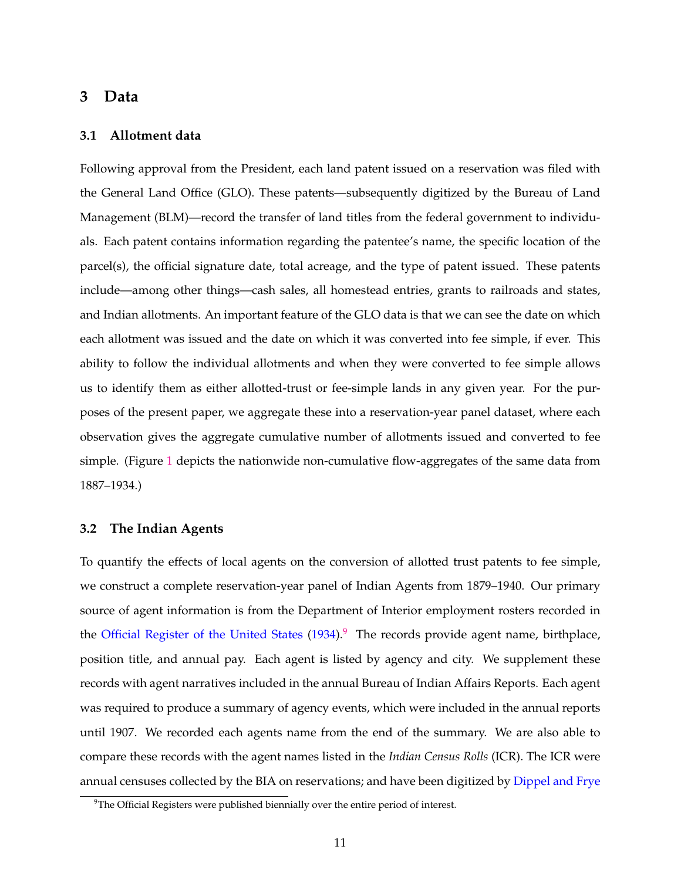### <span id="page-11-0"></span>**3 Data**

#### **3.1 Allotment data**

Following approval from the President, each land patent issued on a reservation was filed with the General Land Office (GLO). These patents—subsequently digitized by the Bureau of Land Management (BLM)—record the transfer of land titles from the federal government to individuals. Each patent contains information regarding the patentee's name, the specific location of the parcel(s), the official signature date, total acreage, and the type of patent issued. These patents include—among other things—cash sales, all homestead entries, grants to railroads and states, and Indian allotments. An important feature of the GLO data is that we can see the date on which each allotment was issued and the date on which it was converted into fee simple, if ever. This ability to follow the individual allotments and when they were converted to fee simple allows us to identify them as either allotted-trust or fee-simple lands in any given year. For the purposes of the present paper, we aggregate these into a reservation-year panel dataset, where each observation gives the aggregate cumulative number of allotments issued and converted to fee simple. (Figure [1](#page-1-0) depicts the nationwide non-cumulative flow-aggregates of the same data from 1887–1934.)

#### **3.2 The Indian Agents**

To quantify the effects of local agents on the conversion of allotted trust patents to fee simple, we construct a complete reservation-year panel of Indian Agents from 1879–1940. Our primary source of agent information is from the Department of Interior employment rosters recorded in the Official Register of the United States  $(1934)$ .<sup>[9](#page-11-1)</sup> The records provide agent name, birthplace, position title, and annual pay. Each agent is listed by agency and city. We supplement these records with agent narratives included in the annual Bureau of Indian Affairs Reports. Each agent was required to produce a summary of agency events, which were included in the annual reports until 1907. We recorded each agents name from the end of the summary. We are also able to compare these records with the agent names listed in the *Indian Census Rolls* (ICR). The ICR were annual censuses collected by the BIA on reservations; and have been digitized by [Dippel and Frye](#page-21-2)

<span id="page-11-1"></span><sup>&</sup>lt;sup>9</sup>The Official Registers were published biennially over the entire period of interest.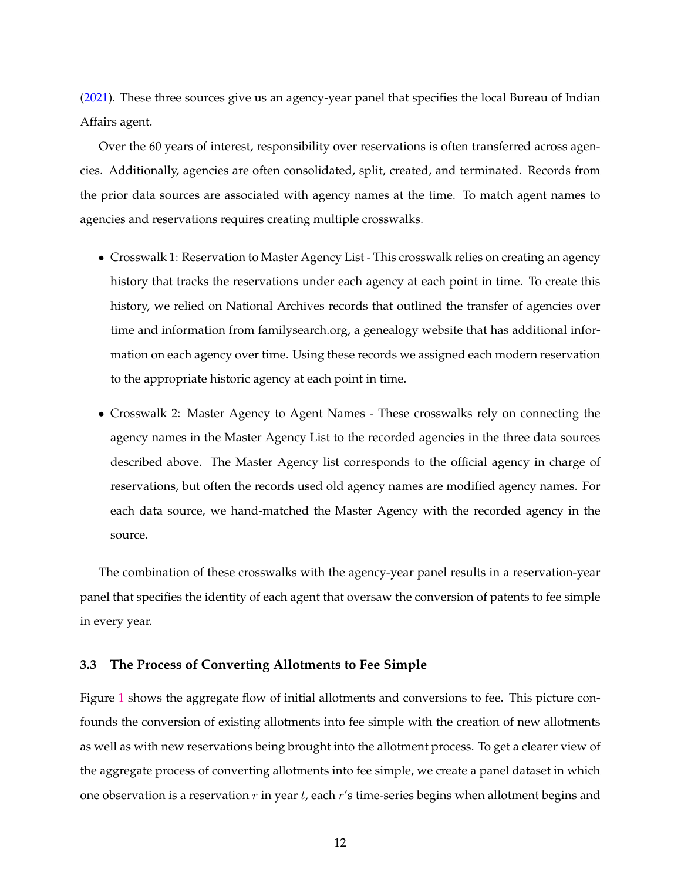[\(2021\)](#page-21-2). These three sources give us an agency-year panel that specifies the local Bureau of Indian Affairs agent.

Over the 60 years of interest, responsibility over reservations is often transferred across agencies. Additionally, agencies are often consolidated, split, created, and terminated. Records from the prior data sources are associated with agency names at the time. To match agent names to agencies and reservations requires creating multiple crosswalks.

- Crosswalk 1: Reservation to Master Agency List This crosswalk relies on creating an agency history that tracks the reservations under each agency at each point in time. To create this history, we relied on National Archives records that outlined the transfer of agencies over time and information from familysearch.org, a genealogy website that has additional information on each agency over time. Using these records we assigned each modern reservation to the appropriate historic agency at each point in time.
- Crosswalk 2: Master Agency to Agent Names These crosswalks rely on connecting the agency names in the Master Agency List to the recorded agencies in the three data sources described above. The Master Agency list corresponds to the official agency in charge of reservations, but often the records used old agency names are modified agency names. For each data source, we hand-matched the Master Agency with the recorded agency in the source.

The combination of these crosswalks with the agency-year panel results in a reservation-year panel that specifies the identity of each agent that oversaw the conversion of patents to fee simple in every year.

#### **3.3 The Process of Converting Allotments to Fee Simple**

Figure [1](#page-1-0) shows the aggregate flow of initial allotments and conversions to fee. This picture confounds the conversion of existing allotments into fee simple with the creation of new allotments as well as with new reservations being brought into the allotment process. To get a clearer view of the aggregate process of converting allotments into fee simple, we create a panel dataset in which one observation is a reservation  $r$  in year  $t$ , each  $r$ 's time-series begins when allotment begins and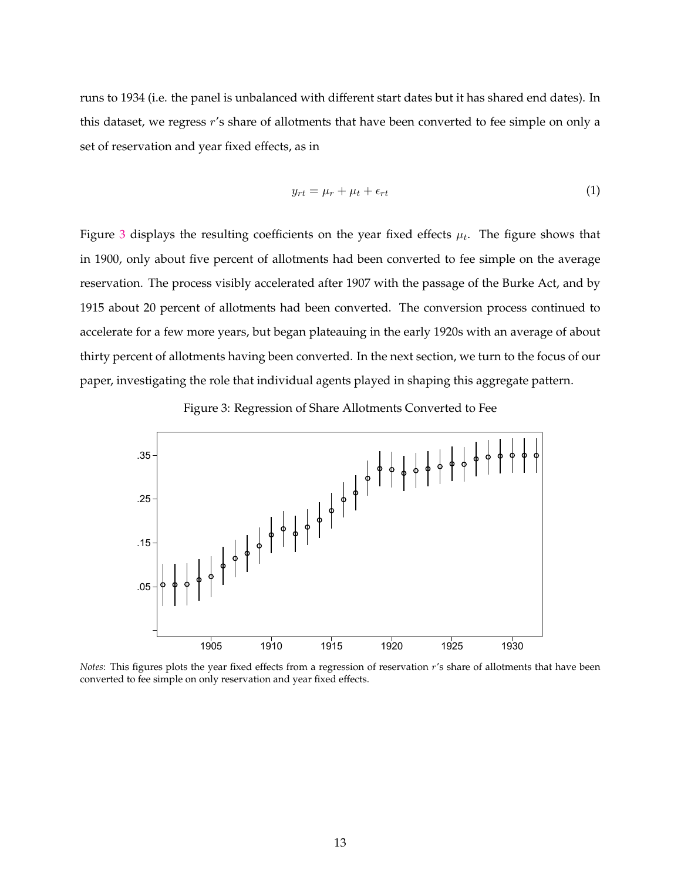runs to 1934 (i.e. the panel is unbalanced with different start dates but it has shared end dates). In this dataset, we regress r's share of allotments that have been converted to fee simple on only a set of reservation and year fixed effects, as in

<span id="page-13-1"></span>
$$
y_{rt} = \mu_r + \mu_t + \epsilon_{rt} \tag{1}
$$

Figure [3](#page-13-0) displays the resulting coefficients on the year fixed effects  $\mu_t$ . The figure shows that in 1900, only about five percent of allotments had been converted to fee simple on the average reservation. The process visibly accelerated after 1907 with the passage of the Burke Act, and by 1915 about 20 percent of allotments had been converted. The conversion process continued to accelerate for a few more years, but began plateauing in the early 1920s with an average of about thirty percent of allotments having been converted. In the next section, we turn to the focus of our paper, investigating the role that individual agents played in shaping this aggregate pattern.

<span id="page-13-0"></span>

Figure 3: Regression of Share Allotments Converted to Fee

*Notes*: This figures plots the year fixed effects from a regression of reservation r's share of allotments that have been converted to fee simple on only reservation and year fixed effects.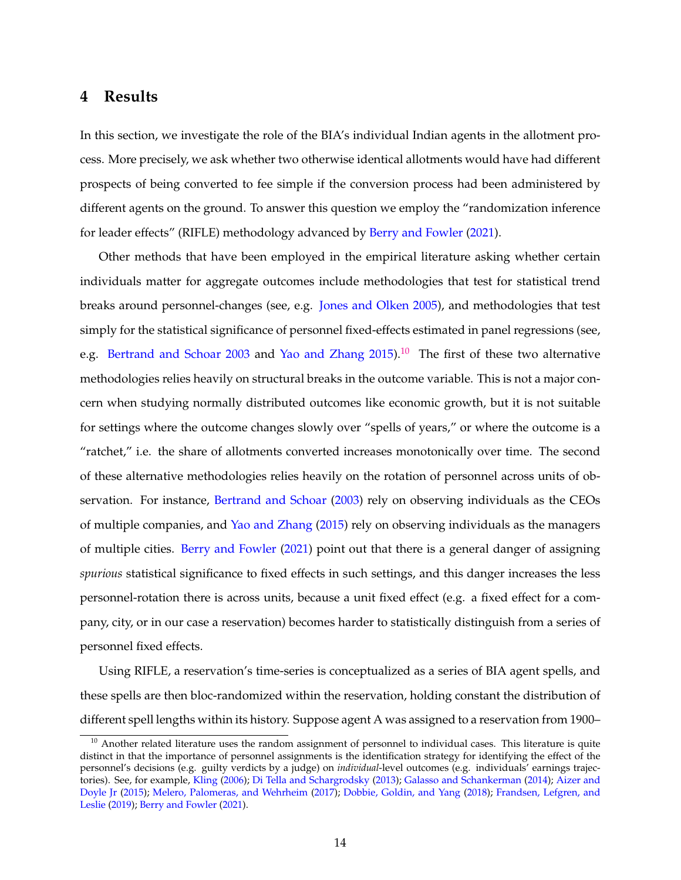### **4 Results**

In this section, we investigate the role of the BIA's individual Indian agents in the allotment process. More precisely, we ask whether two otherwise identical allotments would have had different prospects of being converted to fee simple if the conversion process had been administered by different agents on the ground. To answer this question we employ the "randomization inference for leader effects" (RIFLE) methodology advanced by [Berry and Fowler](#page-21-4) [\(2021\)](#page-21-4).

Other methods that have been employed in the empirical literature asking whether certain individuals matter for aggregate outcomes include methodologies that test for statistical trend breaks around personnel-changes (see, e.g. [Jones and Olken](#page-22-4) [2005\)](#page-22-4), and methodologies that test simply for the statistical significance of personnel fixed-effects estimated in panel regressions (see, e.g. [Bertrand and Schoar](#page-21-3) [2003](#page-21-3) and [Yao and Zhang](#page-23-4)  $2015$ .<sup>[10](#page-14-0)</sup> The first of these two alternative methodologies relies heavily on structural breaks in the outcome variable. This is not a major concern when studying normally distributed outcomes like economic growth, but it is not suitable for settings where the outcome changes slowly over "spells of years," or where the outcome is a "ratchet," i.e. the share of allotments converted increases monotonically over time. The second of these alternative methodologies relies heavily on the rotation of personnel across units of ob-servation. For instance, [Bertrand and Schoar](#page-21-3) [\(2003\)](#page-21-3) rely on observing individuals as the CEOs of multiple companies, and [Yao and Zhang](#page-23-4) [\(2015\)](#page-23-4) rely on observing individuals as the managers of multiple cities. [Berry and Fowler](#page-21-4) [\(2021\)](#page-21-4) point out that there is a general danger of assigning *spurious* statistical significance to fixed effects in such settings, and this danger increases the less personnel-rotation there is across units, because a unit fixed effect (e.g. a fixed effect for a company, city, or in our case a reservation) becomes harder to statistically distinguish from a series of personnel fixed effects.

Using RIFLE, a reservation's time-series is conceptualized as a series of BIA agent spells, and these spells are then bloc-randomized within the reservation, holding constant the distribution of different spell lengths within its history. Suppose agent A was assigned to a reservation from 1900–

<span id="page-14-0"></span> $10$  Another related literature uses the random assignment of personnel to individual cases. This literature is quite distinct in that the importance of personnel assignments is the identification strategy for identifying the effect of the personnel's decisions (e.g. guilty verdicts by a judge) on *individual*-level outcomes (e.g. individuals' earnings trajectories). See, for example, [Kling](#page-22-7) [\(2006\)](#page-22-7); [Di Tella and Schargrodsky](#page-21-5) [\(2013\)](#page-21-5); [Galasso and Schankerman](#page-22-13) [\(2014\)](#page-22-13); [Aizer and](#page-21-16) [Doyle Jr](#page-21-16) [\(2015\)](#page-21-16); [Melero, Palomeras, and Wehrheim](#page-22-14) [\(2017\)](#page-22-14); [Dobbie, Goldin, and Yang](#page-22-15) [\(2018\)](#page-22-15); [Frandsen, Lefgren, and](#page-22-16) [Leslie](#page-22-16) [\(2019\)](#page-22-16); [Berry and Fowler](#page-21-4) [\(2021\)](#page-21-4).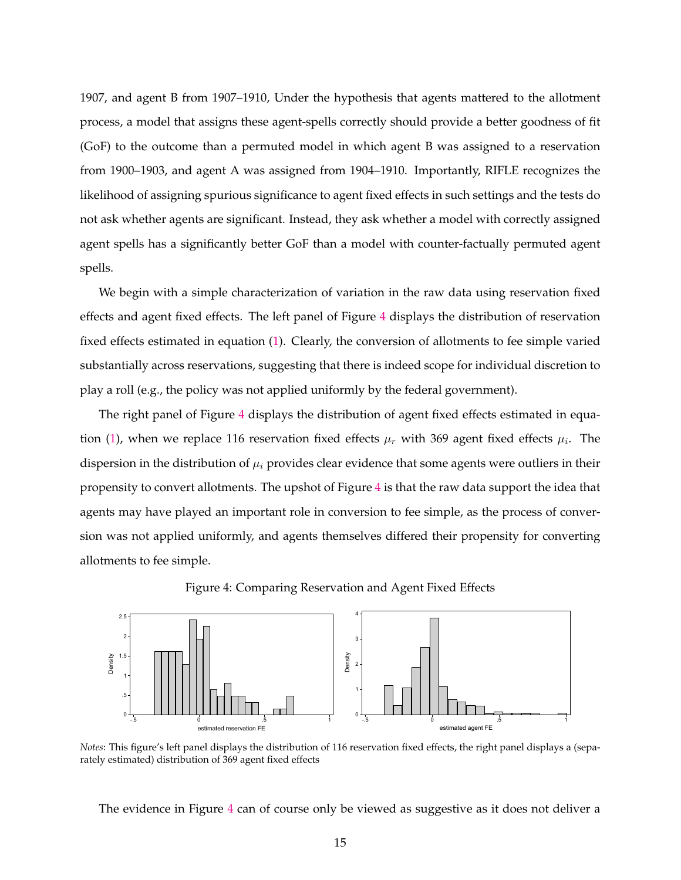1907, and agent B from 1907–1910, Under the hypothesis that agents mattered to the allotment process, a model that assigns these agent-spells correctly should provide a better goodness of fit (GoF) to the outcome than a permuted model in which agent B was assigned to a reservation from 1900–1903, and agent A was assigned from 1904–1910. Importantly, RIFLE recognizes the likelihood of assigning spurious significance to agent fixed effects in such settings and the tests do not ask whether agents are significant. Instead, they ask whether a model with correctly assigned agent spells has a significantly better GoF than a model with counter-factually permuted agent spells.

We begin with a simple characterization of variation in the raw data using reservation fixed effects and agent fixed effects. The left panel of Figure [4](#page-15-0) displays the distribution of reservation fixed effects estimated in equation [\(1\)](#page-13-1). Clearly, the conversion of allotments to fee simple varied substantially across reservations, suggesting that there is indeed scope for individual discretion to play a roll (e.g., the policy was not applied uniformly by the federal government).

The right panel of Figure [4](#page-15-0) displays the distribution of agent fixed effects estimated in equa-tion [\(1\)](#page-13-1), when we replace 116 reservation fixed effects  $\mu_r$  with 369 agent fixed effects  $\mu_i$ . The dispersion in the distribution of  $\mu_i$  provides clear evidence that some agents were outliers in their propensity to convert allotments. The upshot of Figure [4](#page-15-0) is that the raw data support the idea that agents may have played an important role in conversion to fee simple, as the process of conversion was not applied uniformly, and agents themselves differed their propensity for converting allotments to fee simple.



<span id="page-15-0"></span>

*Notes*: This figure's left panel displays the distribution of 116 reservation fixed effects, the right panel displays a (separately estimated) distribution of 369 agent fixed effects

The evidence in Figure [4](#page-15-0) can of course only be viewed as suggestive as it does not deliver a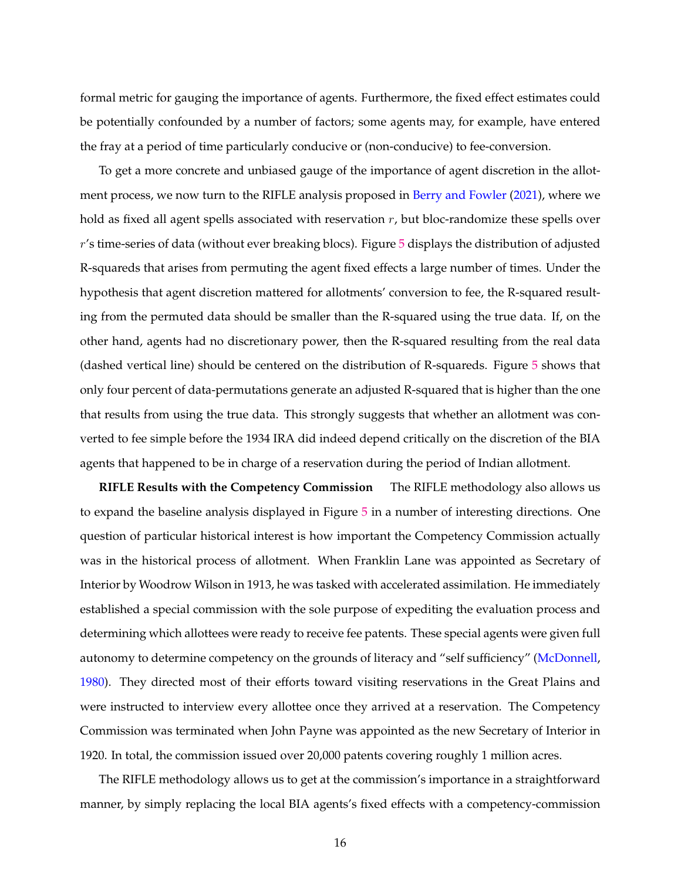formal metric for gauging the importance of agents. Furthermore, the fixed effect estimates could be potentially confounded by a number of factors; some agents may, for example, have entered the fray at a period of time particularly conducive or (non-conducive) to fee-conversion.

To get a more concrete and unbiased gauge of the importance of agent discretion in the allotment process, we now turn to the RIFLE analysis proposed in [Berry and Fowler](#page-21-4) [\(2021\)](#page-21-4), where we hold as fixed all agent spells associated with reservation  $r$ , but bloc-randomize these spells over r's time-series of data (without ever breaking blocs). Figure [5](#page-17-0) displays the distribution of adjusted R-squareds that arises from permuting the agent fixed effects a large number of times. Under the hypothesis that agent discretion mattered for allotments' conversion to fee, the R-squared resulting from the permuted data should be smaller than the R-squared using the true data. If, on the other hand, agents had no discretionary power, then the R-squared resulting from the real data (dashed vertical line) should be centered on the distribution of R-squareds. Figure [5](#page-17-0) shows that only four percent of data-permutations generate an adjusted R-squared that is higher than the one that results from using the true data. This strongly suggests that whether an allotment was converted to fee simple before the 1934 IRA did indeed depend critically on the discretion of the BIA agents that happened to be in charge of a reservation during the period of Indian allotment.

**RIFLE Results with the Competency Commission** The RIFLE methodology also allows us to expand the baseline analysis displayed in Figure [5](#page-17-0) in a number of interesting directions. One question of particular historical interest is how important the Competency Commission actually was in the historical process of allotment. When Franklin Lane was appointed as Secretary of Interior by Woodrow Wilson in 1913, he was tasked with accelerated assimilation. He immediately established a special commission with the sole purpose of expediting the evaluation process and determining which allottees were ready to receive fee patents. These special agents were given full autonomy to determine competency on the grounds of literacy and "self sufficiency" [\(McDonnell,](#page-22-17) [1980\)](#page-22-17). They directed most of their efforts toward visiting reservations in the Great Plains and were instructed to interview every allottee once they arrived at a reservation. The Competency Commission was terminated when John Payne was appointed as the new Secretary of Interior in 1920. In total, the commission issued over 20,000 patents covering roughly 1 million acres.

The RIFLE methodology allows us to get at the commission's importance in a straightforward manner, by simply replacing the local BIA agents's fixed effects with a competency-commission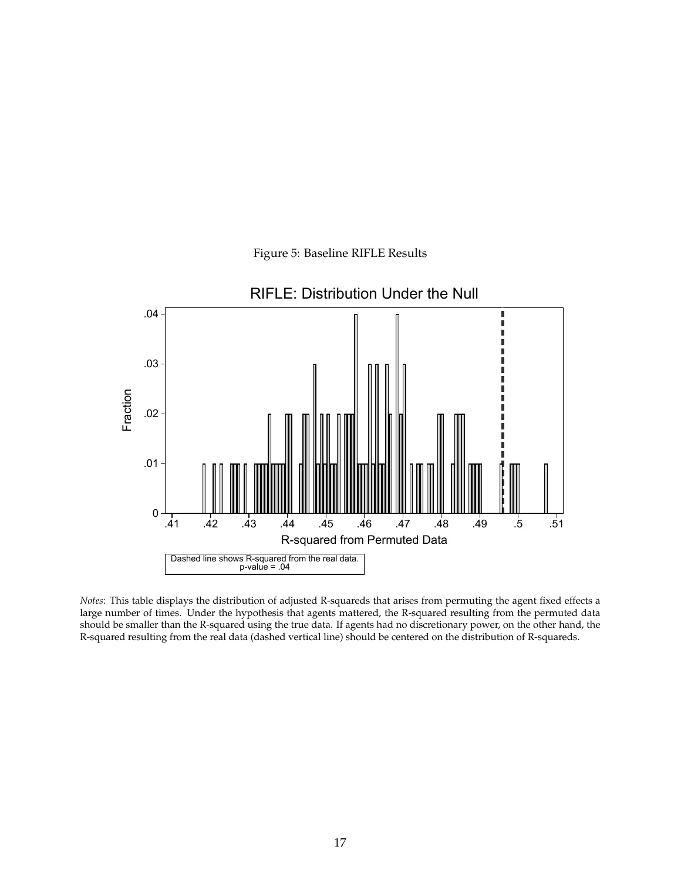<span id="page-17-0"></span>

Figure 5: Baseline RIFLE Results

*Notes*: This table displays the distribution of adjusted R-squareds that arises from permuting the agent fixed effects a large number of times. Under the hypothesis that agents mattered, the R-squared resulting from the permuted data should be smaller than the R-squared using the true data. If agents had no discretionary power, on the other hand, the R-squared resulting from the real data (dashed vertical line) should be centered on the distribution of R-squareds.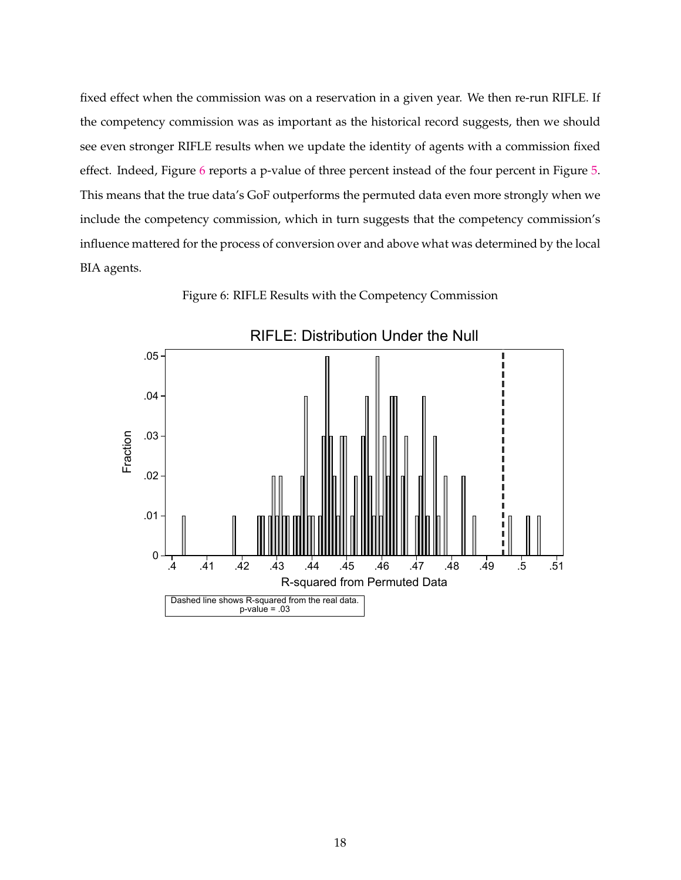fixed effect when the commission was on a reservation in a given year. We then re-run RIFLE. If the competency commission was as important as the historical record suggests, then we should see even stronger RIFLE results when we update the identity of agents with a commission fixed effect. Indeed, Figure [6](#page-18-0) reports a p-value of three percent instead of the four percent in Figure [5.](#page-17-0) This means that the true data's GoF outperforms the permuted data even more strongly when we include the competency commission, which in turn suggests that the competency commission's influence mattered for the process of conversion over and above what was determined by the local BIA agents.

Figure 6: RIFLE Results with the Competency Commission

<span id="page-18-0"></span>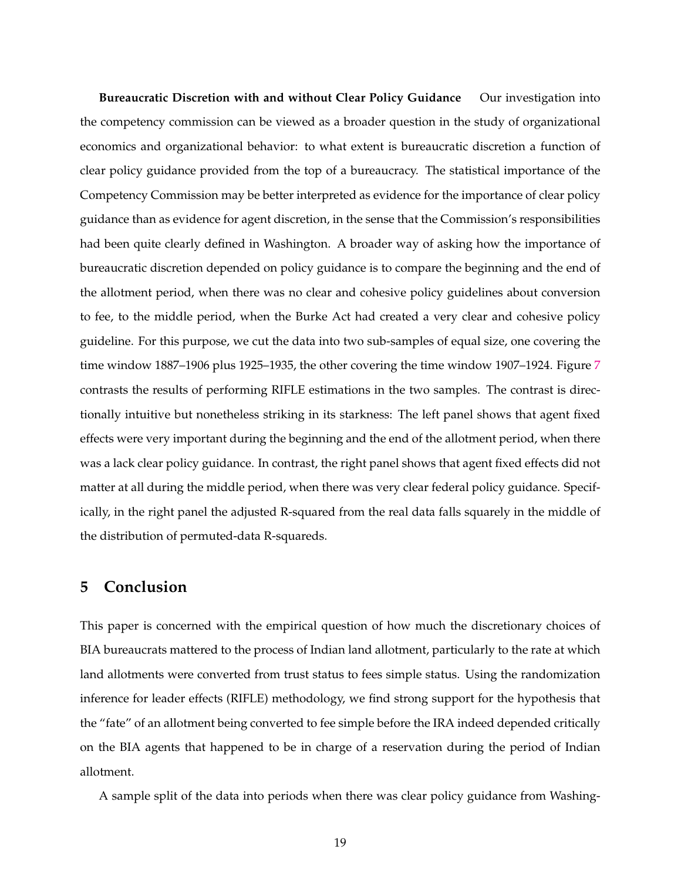**Bureaucratic Discretion with and without Clear Policy Guidance** Our investigation into the competency commission can be viewed as a broader question in the study of organizational economics and organizational behavior: to what extent is bureaucratic discretion a function of clear policy guidance provided from the top of a bureaucracy. The statistical importance of the Competency Commission may be better interpreted as evidence for the importance of clear policy guidance than as evidence for agent discretion, in the sense that the Commission's responsibilities had been quite clearly defined in Washington. A broader way of asking how the importance of bureaucratic discretion depended on policy guidance is to compare the beginning and the end of the allotment period, when there was no clear and cohesive policy guidelines about conversion to fee, to the middle period, when the Burke Act had created a very clear and cohesive policy guideline. For this purpose, we cut the data into two sub-samples of equal size, one covering the time window 1887–1906 plus 1925–1935, the other covering the time window 1907–1924. Figure [7](#page-20-0) contrasts the results of performing RIFLE estimations in the two samples. The contrast is directionally intuitive but nonetheless striking in its starkness: The left panel shows that agent fixed effects were very important during the beginning and the end of the allotment period, when there was a lack clear policy guidance. In contrast, the right panel shows that agent fixed effects did not matter at all during the middle period, when there was very clear federal policy guidance. Specifically, in the right panel the adjusted R-squared from the real data falls squarely in the middle of the distribution of permuted-data R-squareds.

### **5 Conclusion**

This paper is concerned with the empirical question of how much the discretionary choices of BIA bureaucrats mattered to the process of Indian land allotment, particularly to the rate at which land allotments were converted from trust status to fees simple status. Using the randomization inference for leader effects (RIFLE) methodology, we find strong support for the hypothesis that the "fate" of an allotment being converted to fee simple before the IRA indeed depended critically on the BIA agents that happened to be in charge of a reservation during the period of Indian allotment.

A sample split of the data into periods when there was clear policy guidance from Washing-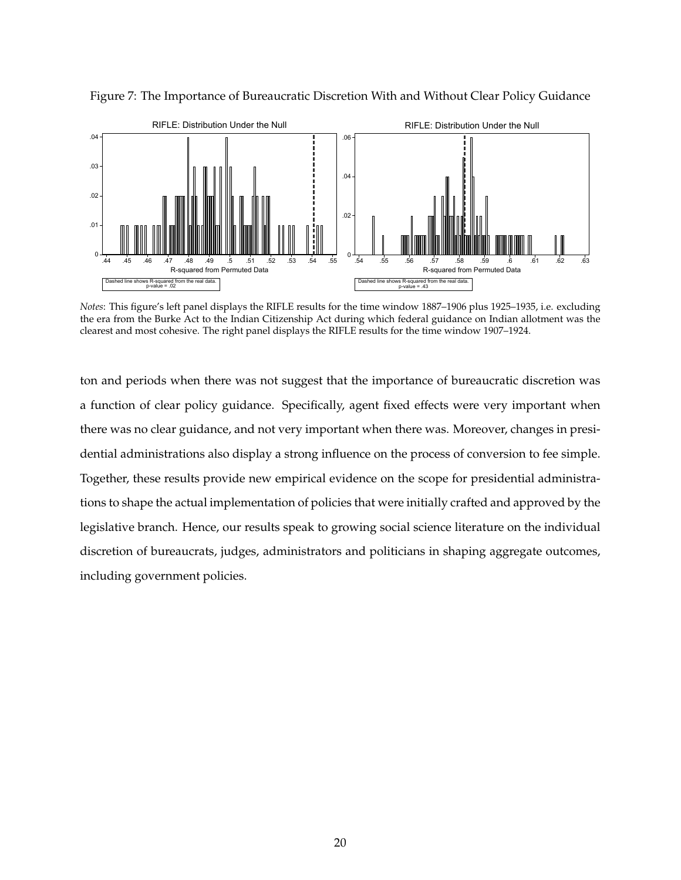

<span id="page-20-0"></span>Figure 7: The Importance of Bureaucratic Discretion With and Without Clear Policy Guidance

*Notes*: This figure's left panel displays the RIFLE results for the time window 1887–1906 plus 1925–1935, i.e. excluding the era from the Burke Act to the Indian Citizenship Act during which federal guidance on Indian allotment was the clearest and most cohesive. The right panel displays the RIFLE results for the time window 1907–1924.

ton and periods when there was not suggest that the importance of bureaucratic discretion was a function of clear policy guidance. Specifically, agent fixed effects were very important when there was no clear guidance, and not very important when there was. Moreover, changes in presidential administrations also display a strong influence on the process of conversion to fee simple. Together, these results provide new empirical evidence on the scope for presidential administrations to shape the actual implementation of policies that were initially crafted and approved by the legislative branch. Hence, our results speak to growing social science literature on the individual discretion of bureaucrats, judges, administrators and politicians in shaping aggregate outcomes, including government policies.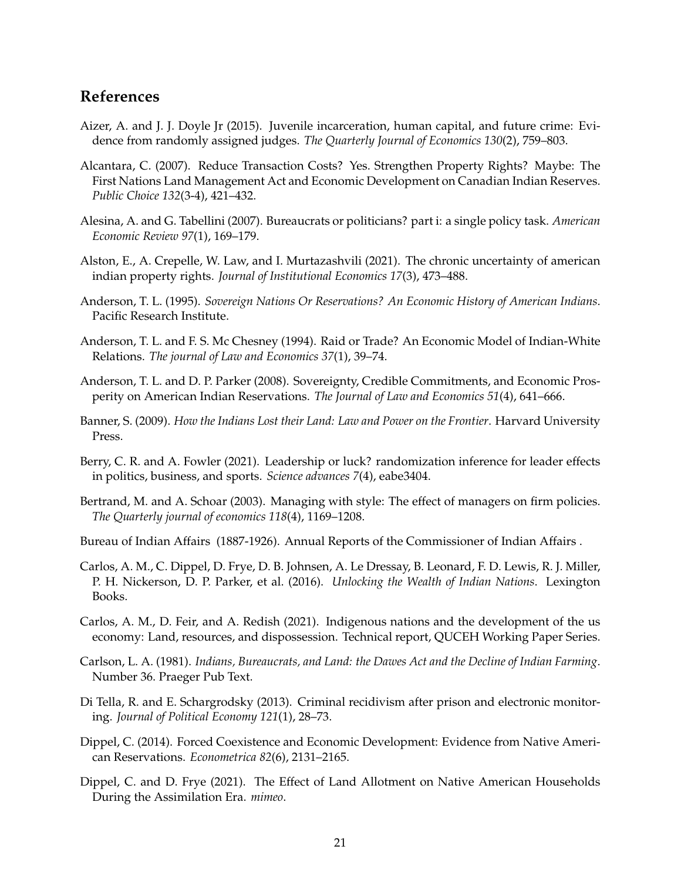# **References**

- <span id="page-21-16"></span>Aizer, A. and J. J. Doyle Jr (2015). Juvenile incarceration, human capital, and future crime: Evidence from randomly assigned judges. *The Quarterly Journal of Economics 130*(2), 759–803.
- <span id="page-21-7"></span>Alcantara, C. (2007). Reduce Transaction Costs? Yes. Strengthen Property Rights? Maybe: The First Nations Land Management Act and Economic Development on Canadian Indian Reserves. *Public Choice 132*(3-4), 421–432.
- <span id="page-21-1"></span>Alesina, A. and G. Tabellini (2007). Bureaucrats or politicians? part i: a single policy task. *American Economic Review 97*(1), 169–179.
- <span id="page-21-11"></span>Alston, E., A. Crepelle, W. Law, and I. Murtazashvili (2021). The chronic uncertainty of american indian property rights. *Journal of Institutional Economics 17*(3), 473–488.
- <span id="page-21-6"></span>Anderson, T. L. (1995). *Sovereign Nations Or Reservations? An Economic History of American Indians*. Pacific Research Institute.
- <span id="page-21-13"></span>Anderson, T. L. and F. S. Mc Chesney (1994). Raid or Trade? An Economic Model of Indian-White Relations. *The journal of Law and Economics 37*(1), 39–74.
- <span id="page-21-8"></span>Anderson, T. L. and D. P. Parker (2008). Sovereignty, Credible Commitments, and Economic Prosperity on American Indian Reservations. *The Journal of Law and Economics 51*(4), 641–666.
- <span id="page-21-14"></span>Banner, S. (2009). *How the Indians Lost their Land: Law and Power on the Frontier*. Harvard University Press.
- <span id="page-21-4"></span>Berry, C. R. and A. Fowler (2021). Leadership or luck? randomization inference for leader effects in politics, business, and sports. *Science advances 7*(4), eabe3404.
- <span id="page-21-3"></span>Bertrand, M. and A. Schoar (2003). Managing with style: The effect of managers on firm policies. *The Quarterly journal of economics 118*(4), 1169–1208.
- <span id="page-21-15"></span>Bureau of Indian Affairs (1887-1926). Annual Reports of the Commissioner of Indian Affairs .
- <span id="page-21-10"></span>Carlos, A. M., C. Dippel, D. Frye, D. B. Johnsen, A. Le Dressay, B. Leonard, F. D. Lewis, R. J. Miller, P. H. Nickerson, D. P. Parker, et al. (2016). *Unlocking the Wealth of Indian Nations*. Lexington Books.
- <span id="page-21-12"></span>Carlos, A. M., D. Feir, and A. Redish (2021). Indigenous nations and the development of the us economy: Land, resources, and dispossession. Technical report, QUCEH Working Paper Series.
- <span id="page-21-0"></span>Carlson, L. A. (1981). *Indians, Bureaucrats, and Land: the Dawes Act and the Decline of Indian Farming*. Number 36. Praeger Pub Text.
- <span id="page-21-5"></span>Di Tella, R. and E. Schargrodsky (2013). Criminal recidivism after prison and electronic monitoring. *Journal of Political Economy 121*(1), 28–73.
- <span id="page-21-9"></span>Dippel, C. (2014). Forced Coexistence and Economic Development: Evidence from Native American Reservations. *Econometrica 82*(6), 2131–2165.
- <span id="page-21-2"></span>Dippel, C. and D. Frye (2021). The Effect of Land Allotment on Native American Households During the Assimilation Era. *mimeo*.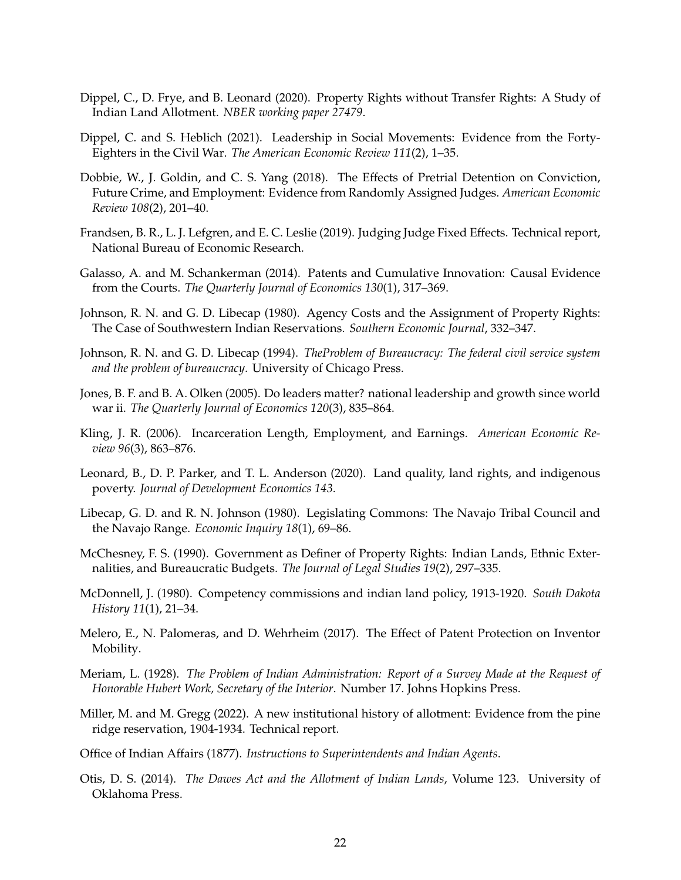- <span id="page-22-10"></span>Dippel, C., D. Frye, and B. Leonard (2020). Property Rights without Transfer Rights: A Study of Indian Land Allotment. *NBER working paper 27479*.
- <span id="page-22-5"></span>Dippel, C. and S. Heblich (2021). Leadership in Social Movements: Evidence from the Forty-Eighters in the Civil War. *The American Economic Review 111*(2), 1–35.
- <span id="page-22-15"></span>Dobbie, W., J. Goldin, and C. S. Yang (2018). The Effects of Pretrial Detention on Conviction, Future Crime, and Employment: Evidence from Randomly Assigned Judges. *American Economic Review 108*(2), 201–40.
- <span id="page-22-16"></span>Frandsen, B. R., L. J. Lefgren, and E. C. Leslie (2019). Judging Judge Fixed Effects. Technical report, National Bureau of Economic Research.
- <span id="page-22-13"></span>Galasso, A. and M. Schankerman (2014). Patents and Cumulative Innovation: Causal Evidence from the Courts. *The Quarterly Journal of Economics 130*(1), 317–369.
- <span id="page-22-6"></span>Johnson, R. N. and G. D. Libecap (1980). Agency Costs and the Assignment of Property Rights: The Case of Southwestern Indian Reservations. *Southern Economic Journal*, 332–347.
- <span id="page-22-2"></span>Johnson, R. N. and G. D. Libecap (1994). *TheProblem of Bureaucracy: The federal civil service system and the problem of bureaucracy*. University of Chicago Press.
- <span id="page-22-4"></span>Jones, B. F. and B. A. Olken (2005). Do leaders matter? national leadership and growth since world war ii. *The Quarterly Journal of Economics 120*(3), 835–864.
- <span id="page-22-7"></span>Kling, J. R. (2006). Incarceration Length, Employment, and Earnings. *American Economic Review 96*(3), 863–876.
- <span id="page-22-9"></span>Leonard, B., D. P. Parker, and T. L. Anderson (2020). Land quality, land rights, and indigenous poverty. *Journal of Development Economics 143*.
- <span id="page-22-8"></span>Libecap, G. D. and R. N. Johnson (1980). Legislating Commons: The Navajo Tribal Council and the Navajo Range. *Economic Inquiry 18*(1), 69–86.
- <span id="page-22-1"></span>McChesney, F. S. (1990). Government as Definer of Property Rights: Indian Lands, Ethnic Externalities, and Bureaucratic Budgets. *The Journal of Legal Studies 19*(2), 297–335.
- <span id="page-22-17"></span>McDonnell, J. (1980). Competency commissions and indian land policy, 1913-1920. *South Dakota History 11*(1), 21–34.
- <span id="page-22-14"></span>Melero, E., N. Palomeras, and D. Wehrheim (2017). The Effect of Patent Protection on Inventor Mobility.
- <span id="page-22-0"></span>Meriam, L. (1928). *The Problem of Indian Administration: Report of a Survey Made at the Request of Honorable Hubert Work, Secretary of the Interior*. Number 17. Johns Hopkins Press.
- <span id="page-22-11"></span>Miller, M. and M. Gregg (2022). A new institutional history of allotment: Evidence from the pine ridge reservation, 1904-1934. Technical report.
- <span id="page-22-3"></span>Office of Indian Affairs (1877). *Instructions to Superintendents and Indian Agents*.
- <span id="page-22-12"></span>Otis, D. S. (2014). *The Dawes Act and the Allotment of Indian Lands*, Volume 123. University of Oklahoma Press.